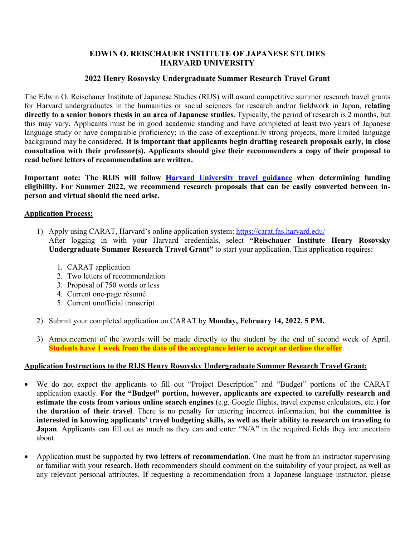### **EDWIN O. REISCHAUER INSTITUTE OF JAPANESE STUDIES HARVARD UNIVERSITY**

# **2022 Henry Rosovsky Undergraduate Summer Research Travel Grant**

The Edwin O. Reischauer Institute of Japanese Studies (RIJS) will award competitive summer research travel grants for Harvard undergraduates in the humanities or social sciences for research and/or fieldwork in Japan, **relating directly to a senior honors thesis in an area of Japanese studies**. Typically, the period of research is 2 months, but this may vary. Applicants must be in good academic standing and have completed at least two years of Japanese language study or have comparable proficiency; in the case of exceptionally strong projects, more limited language background may be considered. **It is important that applicants begin drafting research proposals early, in close consultation with their professor(s). Applicants should give their recommenders a copy of their proposal to read before letters of recommendation are written.** 

**Important note: The RIJS will follow Harvard University travel guidance when determining funding eligibility. For Summer 2022, we recommend research proposals that can be easily converted between inperson and virtual should the need arise.**

#### **Application Process:**

- 1) Apply using CARAT, Harvard's online application system: https://carat.fas.harvard.edu/ After logging in with your Harvard credentials, select **"Reischauer Institute Henry Rosovsky Undergraduate Summer Research Travel Grant"** to start your application. This application requires:
	- 1. CARAT application
	- 2. Two letters of recommendation
	- 3. Proposal of 750 words or less
	- 4. Current one-page résumé
	- 5. Current unofficial transcript
- 2) Submit your completed application on CARAT by **Monday, February 14, 2022, 5 PM.**
- 3) Announcement of the awards will be made directly to the student by the end of second week of April. **Students have 1 week from the date of the acceptance letter to accept or decline the offer**.

### **Application Instructions to the RIJS Henry Rosovsky Undergraduate Summer Research Travel Grant:**

- We do not expect the applicants to fill out "Project Description" and "Budget" portions of the CARAT application exactly. **For the "Budget" portion, however, applicants are expected to carefully research and estimate the costs from various online search engines** (e.g. Google flights, travel expense calculators, etc.) **for the duration of their travel**. There is no penalty for entering incorrect information, but **the committee is interested in knowing applicants' travel budgeting skills, as well as their ability to research on traveling to Japan**. Applicants can fill out as much as they can and enter "N/A" in the required fields they are uncertain about.
- Application must be supported by **two letters of recommendation**. One must be from an instructor supervising or familiar with your research. Both recommenders should comment on the suitability of your project, as well as any relevant personal attributes. If requesting a recommendation from a Japanese language instructor, please